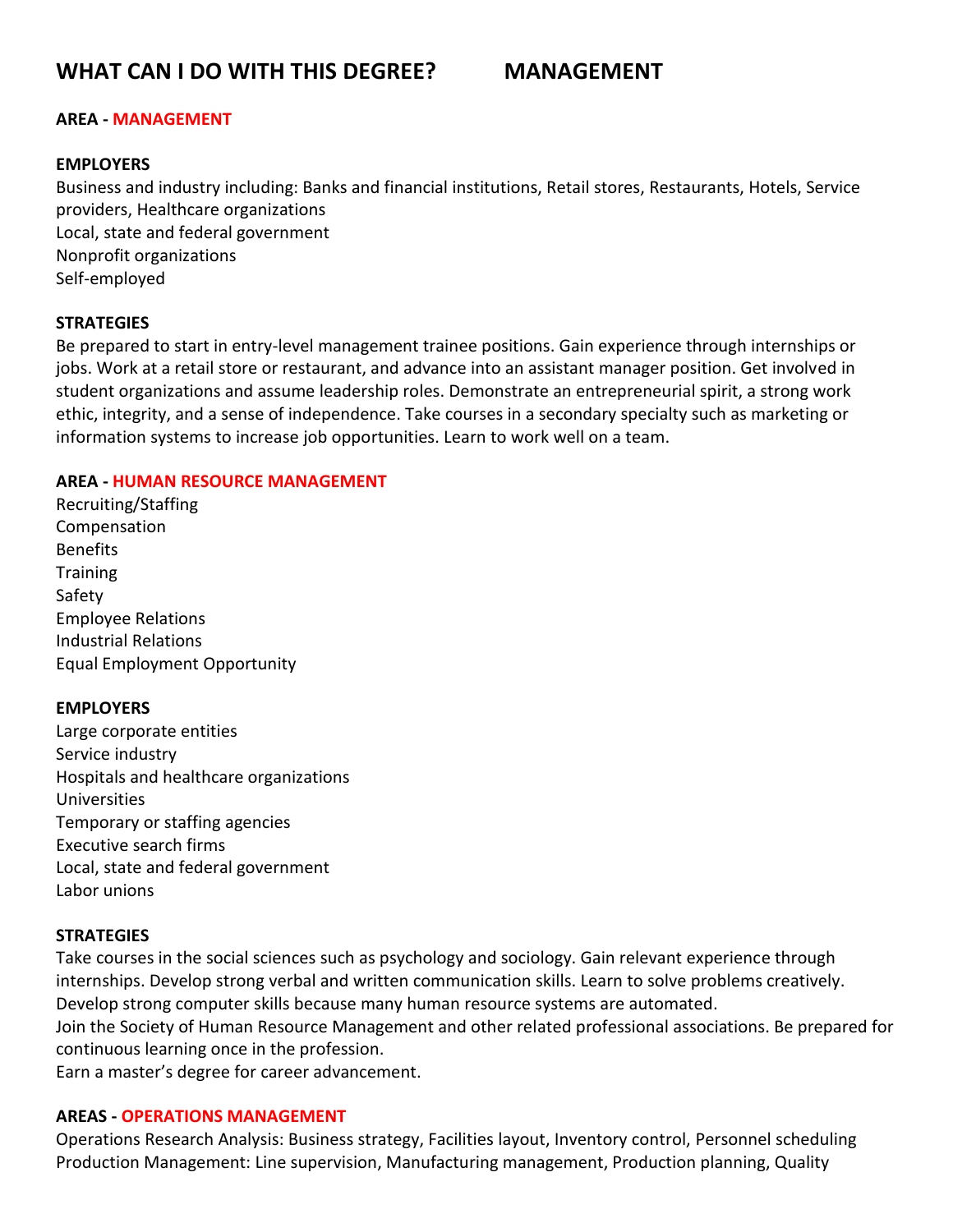# **AREA - MANAGEMENT**

# **EMPLOYERS**

Business and industry including: Banks and financial institutions, Retail stores, Restaurants, Hotels, Service providers, Healthcare organizations Local, state and federal government Nonprofit organizations Self-employed

# **STRATEGIES**

Be prepared to start in entry-level management trainee positions. Gain experience through internships or jobs. Work at a retail store or restaurant, and advance into an assistant manager position. Get involved in student organizations and assume leadership roles. Demonstrate an entrepreneurial spirit, a strong work ethic, integrity, and a sense of independence. Take courses in a secondary specialty such as marketing or information systems to increase job opportunities. Learn to work well on a team.

## **AREA - HUMAN RESOURCE MANAGEMENT**

Recruiting/Staffing Compensation Benefits **Training** Safety Employee Relations Industrial Relations Equal Employment Opportunity

#### **EMPLOYERS**

Large corporate entities Service industry Hospitals and healthcare organizations Universities Temporary or staffing agencies Executive search firms Local, state and federal government Labor unions

# **STRATEGIES**

Take courses in the social sciences such as psychology and sociology. Gain relevant experience through internships. Develop strong verbal and written communication skills. Learn to solve problems creatively. Develop strong computer skills because many human resource systems are automated.

Join the Society of Human Resource Management and other related professional associations. Be prepared for continuous learning once in the profession.

Earn a master's degree for career advancement.

### **AREAS - OPERATIONS MANAGEMENT**

Operations Research Analysis: Business strategy, Facilities layout, Inventory control, Personnel scheduling Production Management: Line supervision, Manufacturing management, Production planning, Quality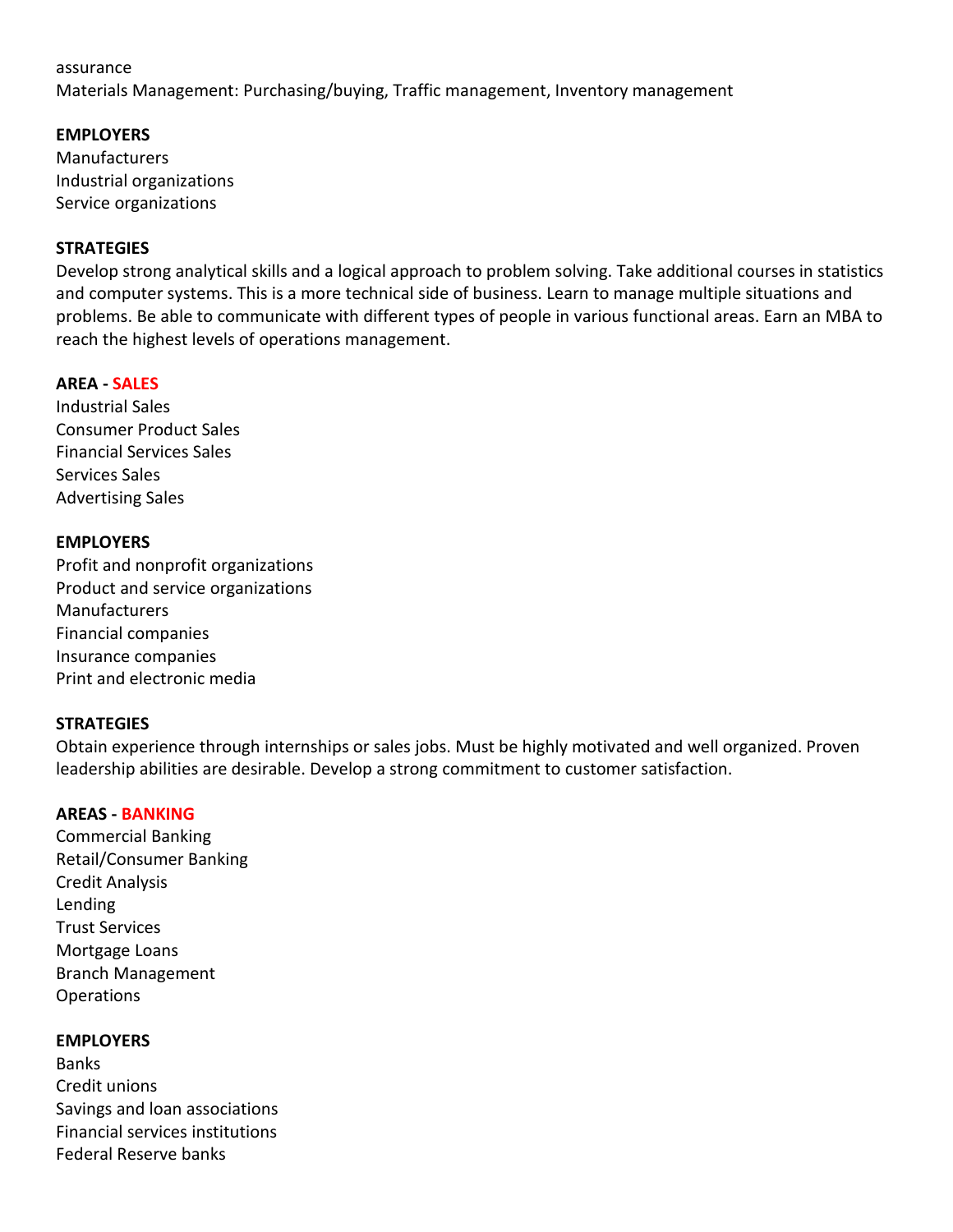#### assurance

Materials Management: Purchasing/buying, Traffic management, Inventory management

# **EMPLOYERS**

Manufacturers Industrial organizations Service organizations

# **STRATEGIES**

Develop strong analytical skills and a logical approach to problem solving. Take additional courses in statistics and computer systems. This is a more technical side of business. Learn to manage multiple situations and problems. Be able to communicate with different types of people in various functional areas. Earn an MBA to reach the highest levels of operations management.

## **AREA - SALES**

Industrial Sales Consumer Product Sales Financial Services Sales Services Sales Advertising Sales

# **EMPLOYERS**

Profit and nonprofit organizations Product and service organizations Manufacturers Financial companies Insurance companies Print and electronic media

#### **STRATEGIES**

Obtain experience through internships or sales jobs. Must be highly motivated and well organized. Proven leadership abilities are desirable. Develop a strong commitment to customer satisfaction.

#### **AREAS - BANKING**

Commercial Banking Retail/Consumer Banking Credit Analysis Lending Trust Services Mortgage Loans Branch Management Operations

#### **EMPLOYERS**

Banks Credit unions Savings and loan associations Financial services institutions Federal Reserve banks